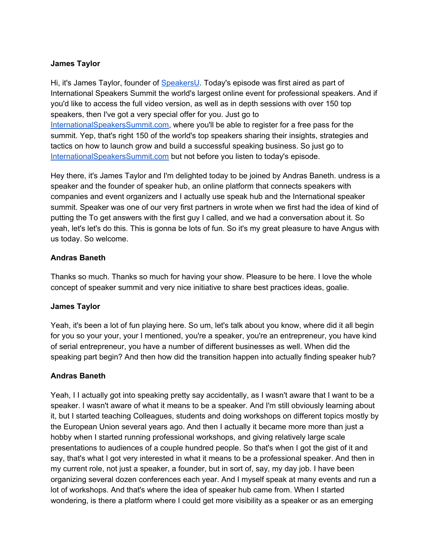#### **James Taylor**

Hi, it's James Taylor, founder of [SpeakersU.](https://speakersu.com/) Today's episode was first aired as part of International Speakers Summit the world's largest online event for professional speakers. And if you'd like to access the full video version, as well as in depth sessions with over 150 top speakers, then I've got a very special offer for you. Just go to [InternationalSpeakersSummit.com](http://internationalspeakerssummit.com/), where you'll be able to register for a free pass for the summit. Yep, that's right 150 of the world's top speakers sharing their insights, strategies and tactics on how to launch grow and build a successful speaking business. So just go t[o](http://internationalspeakerssummit.com/) [InternationalSpeakersSummit.com](http://internationalspeakerssummit.com/) but not before you listen to today's episode.

Hey there, it's James Taylor and I'm delighted today to be joined by Andras Baneth. undress is a speaker and the founder of speaker hub, an online platform that connects speakers with companies and event organizers and I actually use speak hub and the International speaker summit. Speaker was one of our very first partners in wrote when we first had the idea of kind of putting the To get answers with the first guy I called, and we had a conversation about it. So yeah, let's let's do this. This is gonna be lots of fun. So it's my great pleasure to have Angus with us today. So welcome.

#### **Andras Baneth**

Thanks so much. Thanks so much for having your show. Pleasure to be here. I love the whole concept of speaker summit and very nice initiative to share best practices ideas, goalie.

#### **James Taylor**

Yeah, it's been a lot of fun playing here. So um, let's talk about you know, where did it all begin for you so your your, your I mentioned, you're a speaker, you're an entrepreneur, you have kind of serial entrepreneur, you have a number of different businesses as well. When did the speaking part begin? And then how did the transition happen into actually finding speaker hub?

#### **Andras Baneth**

Yeah, I I actually got into speaking pretty say accidentally, as I wasn't aware that I want to be a speaker. I wasn't aware of what it means to be a speaker. And I'm still obviously learning about it, but I started teaching Colleagues, students and doing workshops on different topics mostly by the European Union several years ago. And then I actually it became more more than just a hobby when I started running professional workshops, and giving relatively large scale presentations to audiences of a couple hundred people. So that's when I got the gist of it and say, that's what I got very interested in what it means to be a professional speaker. And then in my current role, not just a speaker, a founder, but in sort of, say, my day job. I have been organizing several dozen conferences each year. And I myself speak at many events and run a lot of workshops. And that's where the idea of speaker hub came from. When I started wondering, is there a platform where I could get more visibility as a speaker or as an emerging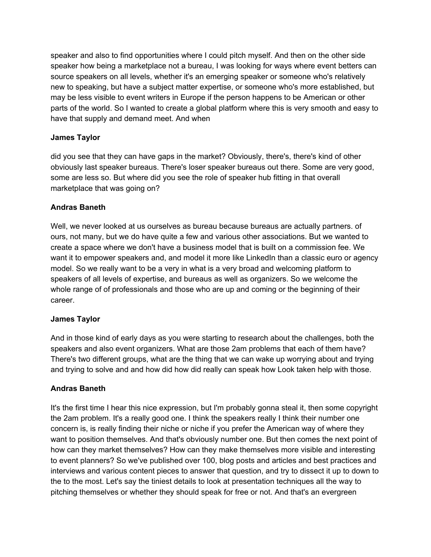speaker and also to find opportunities where I could pitch myself. And then on the other side speaker how being a marketplace not a bureau, I was looking for ways where event betters can source speakers on all levels, whether it's an emerging speaker or someone who's relatively new to speaking, but have a subject matter expertise, or someone who's more established, but may be less visible to event writers in Europe if the person happens to be American or other parts of the world. So I wanted to create a global platform where this is very smooth and easy to have that supply and demand meet. And when

#### **James Taylor**

did you see that they can have gaps in the market? Obviously, there's, there's kind of other obviously last speaker bureaus. There's loser speaker bureaus out there. Some are very good, some are less so. But where did you see the role of speaker hub fitting in that overall marketplace that was going on?

#### **Andras Baneth**

Well, we never looked at us ourselves as bureau because bureaus are actually partners. of ours, not many, but we do have quite a few and various other associations. But we wanted to create a space where we don't have a business model that is built on a commission fee. We want it to empower speakers and, and model it more like LinkedIn than a classic euro or agency model. So we really want to be a very in what is a very broad and welcoming platform to speakers of all levels of expertise, and bureaus as well as organizers. So we welcome the whole range of of professionals and those who are up and coming or the beginning of their career.

#### **James Taylor**

And in those kind of early days as you were starting to research about the challenges, both the speakers and also event organizers. What are those 2am problems that each of them have? There's two different groups, what are the thing that we can wake up worrying about and trying and trying to solve and and how did how did really can speak how Look taken help with those.

#### **Andras Baneth**

It's the first time I hear this nice expression, but I'm probably gonna steal it, then some copyright the 2am problem. It's a really good one. I think the speakers really I think their number one concern is, is really finding their niche or niche if you prefer the American way of where they want to position themselves. And that's obviously number one. But then comes the next point of how can they market themselves? How can they make themselves more visible and interesting to event planners? So we've published over 100, blog posts and articles and best practices and interviews and various content pieces to answer that question, and try to dissect it up to down to the to the most. Let's say the tiniest details to look at presentation techniques all the way to pitching themselves or whether they should speak for free or not. And that's an evergreen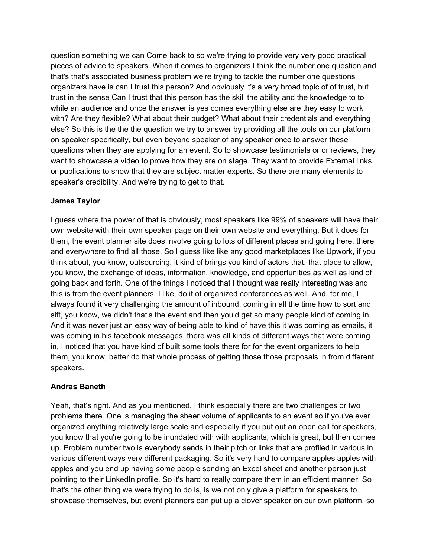question something we can Come back to so we're trying to provide very very good practical pieces of advice to speakers. When it comes to organizers I think the number one question and that's that's associated business problem we're trying to tackle the number one questions organizers have is can I trust this person? And obviously it's a very broad topic of of trust, but trust in the sense Can I trust that this person has the skill the ability and the knowledge to to while an audience and once the answer is yes comes everything else are they easy to work with? Are they flexible? What about their budget? What about their credentials and everything else? So this is the the the question we try to answer by providing all the tools on our platform on speaker specifically, but even beyond speaker of any speaker once to answer these questions when they are applying for an event. So to showcase testimonials or or reviews, they want to showcase a video to prove how they are on stage. They want to provide External links or publications to show that they are subject matter experts. So there are many elements to speaker's credibility. And we're trying to get to that.

#### **James Taylor**

I guess where the power of that is obviously, most speakers like 99% of speakers will have their own website with their own speaker page on their own website and everything. But it does for them, the event planner site does involve going to lots of different places and going here, there and everywhere to find all those. So I guess like like any good marketplaces like Upwork, if you think about, you know, outsourcing, it kind of brings you kind of actors that, that place to allow, you know, the exchange of ideas, information, knowledge, and opportunities as well as kind of going back and forth. One of the things I noticed that I thought was really interesting was and this is from the event planners, I like, do it of organized conferences as well. And, for me, I always found it very challenging the amount of inbound, coming in all the time how to sort and sift, you know, we didn't that's the event and then you'd get so many people kind of coming in. And it was never just an easy way of being able to kind of have this it was coming as emails, it was coming in his facebook messages, there was all kinds of different ways that were coming in, I noticed that you have kind of built some tools there for for the event organizers to help them, you know, better do that whole process of getting those those proposals in from different speakers.

# **Andras Baneth**

Yeah, that's right. And as you mentioned, I think especially there are two challenges or two problems there. One is managing the sheer volume of applicants to an event so if you've ever organized anything relatively large scale and especially if you put out an open call for speakers, you know that you're going to be inundated with with applicants, which is great, but then comes up. Problem number two is everybody sends in their pitch or links that are profiled in various in various different ways very different packaging. So it's very hard to compare apples apples with apples and you end up having some people sending an Excel sheet and another person just pointing to their LinkedIn profile. So it's hard to really compare them in an efficient manner. So that's the other thing we were trying to do is, is we not only give a platform for speakers to showcase themselves, but event planners can put up a clover speaker on our own platform, so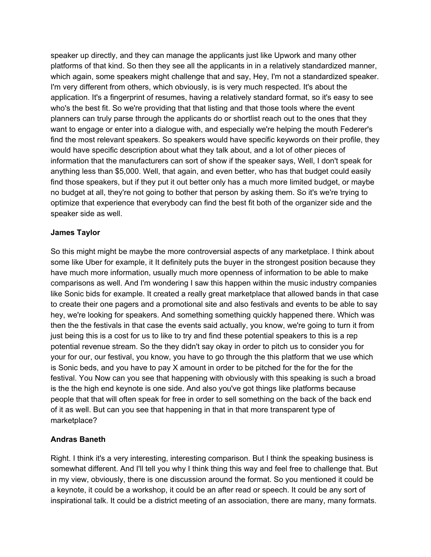speaker up directly, and they can manage the applicants just like Upwork and many other platforms of that kind. So then they see all the applicants in in a relatively standardized manner, which again, some speakers might challenge that and say, Hey, I'm not a standardized speaker. I'm very different from others, which obviously, is is very much respected. It's about the application. It's a fingerprint of resumes, having a relatively standard format, so it's easy to see who's the best fit. So we're providing that that listing and that those tools where the event planners can truly parse through the applicants do or shortlist reach out to the ones that they want to engage or enter into a dialogue with, and especially we're helping the mouth Federer's find the most relevant speakers. So speakers would have specific keywords on their profile, they would have specific description about what they talk about, and a lot of other pieces of information that the manufacturers can sort of show if the speaker says, Well, I don't speak for anything less than \$5,000. Well, that again, and even better, who has that budget could easily find those speakers, but if they put it out better only has a much more limited budget, or maybe no budget at all, they're not going to bother that person by asking them. So it's we're trying to optimize that experience that everybody can find the best fit both of the organizer side and the speaker side as well.

#### **James Taylor**

So this might might be maybe the more controversial aspects of any marketplace. I think about some like Uber for example, it It definitely puts the buyer in the strongest position because they have much more information, usually much more openness of information to be able to make comparisons as well. And I'm wondering I saw this happen within the music industry companies like Sonic bids for example. It created a really great marketplace that allowed bands in that case to create their one pagers and a promotional site and also festivals and events to be able to say hey, we're looking for speakers. And something something quickly happened there. Which was then the the festivals in that case the events said actually, you know, we're going to turn it from just being this is a cost for us to like to try and find these potential speakers to this is a rep potential revenue stream. So the they didn't say okay in order to pitch us to consider you for your for our, our festival, you know, you have to go through the this platform that we use which is Sonic beds, and you have to pay X amount in order to be pitched for the for the for the festival. You Now can you see that happening with obviously with this speaking is such a broad is the the high end keynote is one side. And also you've got things like platforms because people that that will often speak for free in order to sell something on the back of the back end of it as well. But can you see that happening in that in that more transparent type of marketplace?

# **Andras Baneth**

Right. I think it's a very interesting, interesting comparison. But I think the speaking business is somewhat different. And I'll tell you why I think thing this way and feel free to challenge that. But in my view, obviously, there is one discussion around the format. So you mentioned it could be a keynote, it could be a workshop, it could be an after read or speech. It could be any sort of inspirational talk. It could be a district meeting of an association, there are many, many formats.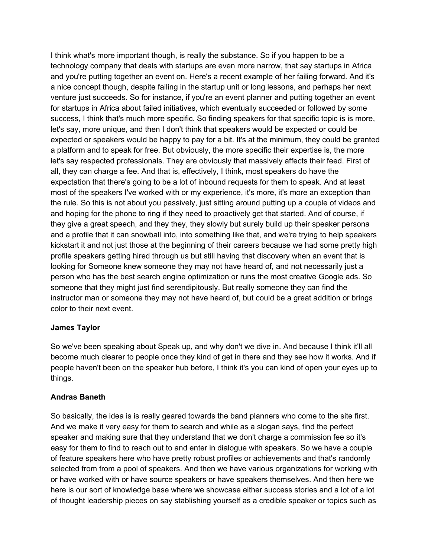I think what's more important though, is really the substance. So if you happen to be a technology company that deals with startups are even more narrow, that say startups in Africa and you're putting together an event on. Here's a recent example of her failing forward. And it's a nice concept though, despite failing in the startup unit or long lessons, and perhaps her next venture just succeeds. So for instance, if you're an event planner and putting together an event for startups in Africa about failed initiatives, which eventually succeeded or followed by some success, I think that's much more specific. So finding speakers for that specific topic is is more, let's say, more unique, and then I don't think that speakers would be expected or could be expected or speakers would be happy to pay for a bit. It's at the minimum, they could be granted a platform and to speak for free. But obviously, the more specific their expertise is, the more let's say respected professionals. They are obviously that massively affects their feed. First of all, they can charge a fee. And that is, effectively, I think, most speakers do have the expectation that there's going to be a lot of inbound requests for them to speak. And at least most of the speakers I've worked with or my experience, it's more, it's more an exception than the rule. So this is not about you passively, just sitting around putting up a couple of videos and and hoping for the phone to ring if they need to proactively get that started. And of course, if they give a great speech, and they they, they slowly but surely build up their speaker persona and a profile that it can snowball into, into something like that, and we're trying to help speakers kickstart it and not just those at the beginning of their careers because we had some pretty high profile speakers getting hired through us but still having that discovery when an event that is looking for Someone knew someone they may not have heard of, and not necessarily just a person who has the best search engine optimization or runs the most creative Google ads. So someone that they might just find serendipitously. But really someone they can find the instructor man or someone they may not have heard of, but could be a great addition or brings color to their next event.

# **James Taylor**

So we've been speaking about Speak up, and why don't we dive in. And because I think it'll all become much clearer to people once they kind of get in there and they see how it works. And if people haven't been on the speaker hub before, I think it's you can kind of open your eyes up to things.

#### **Andras Baneth**

So basically, the idea is is really geared towards the band planners who come to the site first. And we make it very easy for them to search and while as a slogan says, find the perfect speaker and making sure that they understand that we don't charge a commission fee so it's easy for them to find to reach out to and enter in dialogue with speakers. So we have a couple of feature speakers here who have pretty robust profiles or achievements and that's randomly selected from from a pool of speakers. And then we have various organizations for working with or have worked with or have source speakers or have speakers themselves. And then here we here is our sort of knowledge base where we showcase either success stories and a lot of a lot of thought leadership pieces on say stablishing yourself as a credible speaker or topics such as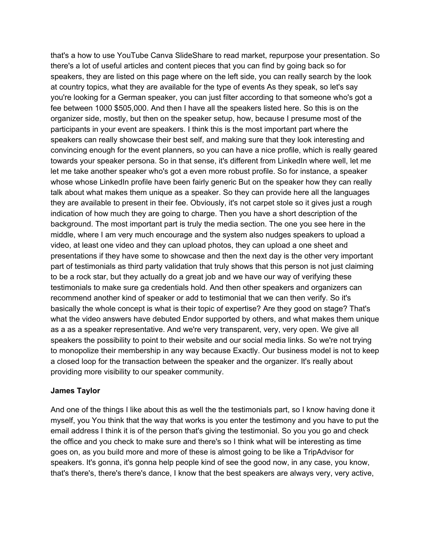that's a how to use YouTube Canva SlideShare to read market, repurpose your presentation. So there's a lot of useful articles and content pieces that you can find by going back so for speakers, they are listed on this page where on the left side, you can really search by the look at country topics, what they are available for the type of events As they speak, so let's say you're looking for a German speaker, you can just filter according to that someone who's got a fee between 1000 \$505,000. And then I have all the speakers listed here. So this is on the organizer side, mostly, but then on the speaker setup, how, because I presume most of the participants in your event are speakers. I think this is the most important part where the speakers can really showcase their best self, and making sure that they look interesting and convincing enough for the event planners, so you can have a nice profile, which is really geared towards your speaker persona. So in that sense, it's different from LinkedIn where well, let me let me take another speaker who's got a even more robust profile. So for instance, a speaker whose whose LinkedIn profile have been fairly generic But on the speaker how they can really talk about what makes them unique as a speaker. So they can provide here all the languages they are available to present in their fee. Obviously, it's not carpet stole so it gives just a rough indication of how much they are going to charge. Then you have a short description of the background. The most important part is truly the media section. The one you see here in the middle, where I am very much encourage and the system also nudges speakers to upload a video, at least one video and they can upload photos, they can upload a one sheet and presentations if they have some to showcase and then the next day is the other very important part of testimonials as third party validation that truly shows that this person is not just claiming to be a rock star, but they actually do a great job and we have our way of verifying these testimonials to make sure ga credentials hold. And then other speakers and organizers can recommend another kind of speaker or add to testimonial that we can then verify. So it's basically the whole concept is what is their topic of expertise? Are they good on stage? That's what the video answers have debuted Endor supported by others, and what makes them unique as a as a speaker representative. And we're very transparent, very, very open. We give all speakers the possibility to point to their website and our social media links. So we're not trying to monopolize their membership in any way because Exactly. Our business model is not to keep a closed loop for the transaction between the speaker and the organizer. It's really about providing more visibility to our speaker community.

#### **James Taylor**

And one of the things I like about this as well the the testimonials part, so I know having done it myself, you You think that the way that works is you enter the testimony and you have to put the email address I think it is of the person that's giving the testimonial. So you you go and check the office and you check to make sure and there's so I think what will be interesting as time goes on, as you build more and more of these is almost going to be like a TripAdvisor for speakers. It's gonna, it's gonna help people kind of see the good now, in any case, you know, that's there's, there's there's dance, I know that the best speakers are always very, very active,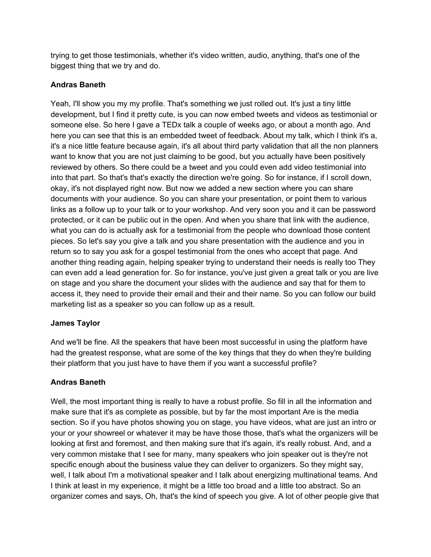trying to get those testimonials, whether it's video written, audio, anything, that's one of the biggest thing that we try and do.

# **Andras Baneth**

Yeah, I'll show you my my profile. That's something we just rolled out. It's just a tiny little development, but I find it pretty cute, is you can now embed tweets and videos as testimonial or someone else. So here I gave a TEDx talk a couple of weeks ago, or about a month ago. And here you can see that this is an embedded tweet of feedback. About my talk, which I think it's a, it's a nice little feature because again, it's all about third party validation that all the non planners want to know that you are not just claiming to be good, but you actually have been positively reviewed by others. So there could be a tweet and you could even add video testimonial into into that part. So that's that's exactly the direction we're going. So for instance, if I scroll down, okay, it's not displayed right now. But now we added a new section where you can share documents with your audience. So you can share your presentation, or point them to various links as a follow up to your talk or to your workshop. And very soon you and it can be password protected, or it can be public out in the open. And when you share that link with the audience, what you can do is actually ask for a testimonial from the people who download those content pieces. So let's say you give a talk and you share presentation with the audience and you in return so to say you ask for a gospel testimonial from the ones who accept that page. And another thing reading again, helping speaker trying to understand their needs is really too They can even add a lead generation for. So for instance, you've just given a great talk or you are live on stage and you share the document your slides with the audience and say that for them to access it, they need to provide their email and their and their name. So you can follow our build marketing list as a speaker so you can follow up as a result.

# **James Taylor**

And we'll be fine. All the speakers that have been most successful in using the platform have had the greatest response, what are some of the key things that they do when they're building their platform that you just have to have them if you want a successful profile?

# **Andras Baneth**

Well, the most important thing is really to have a robust profile. So fill in all the information and make sure that it's as complete as possible, but by far the most important Are is the media section. So if you have photos showing you on stage, you have videos, what are just an intro or your or your showreel or whatever it may be have those those, that's what the organizers will be looking at first and foremost, and then making sure that it's again, it's really robust. And, and a very common mistake that I see for many, many speakers who join speaker out is they're not specific enough about the business value they can deliver to organizers. So they might say, well, I talk about I'm a motivational speaker and I talk about energizing multinational teams. And I think at least in my experience, it might be a little too broad and a little too abstract. So an organizer comes and says, Oh, that's the kind of speech you give. A lot of other people give that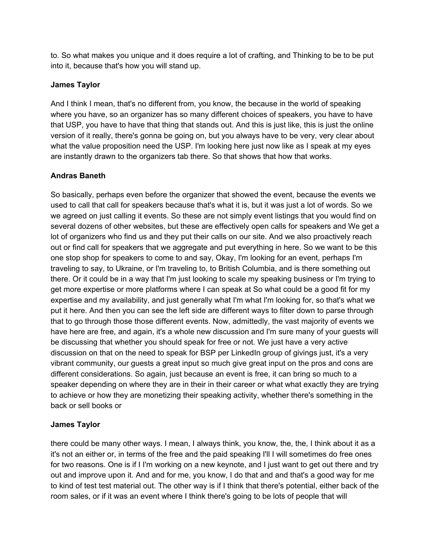to. So what makes you unique and it does require a lot of crafting, and Thinking to be to be put into it, because that's how you will stand up.

# **James Taylor**

And I think I mean, that's no different from, you know, the because in the world of speaking where you have, so an organizer has so many different choices of speakers, you have to have that USP, you have to have that thing that stands out. And this is just like, this is just the online version of it really, there's gonna be going on, but you always have to be very, very clear about what the value proposition need the USP. I'm looking here just now like as I speak at my eyes are instantly drawn to the organizers tab there. So that shows that how that works.

# **Andras Baneth**

So basically, perhaps even before the organizer that showed the event, because the events we used to call that call for speakers because that's what it is, but it was just a lot of words. So we we agreed on just calling it events. So these are not simply event listings that you would find on several dozens of other websites, but these are effectively open calls for speakers and We get a lot of organizers who find us and they put their calls on our site. And we also proactively reach out or find call for speakers that we aggregate and put everything in here. So we want to be this one stop shop for speakers to come to and say, Okay, I'm looking for an event, perhaps I'm traveling to say, to Ukraine, or I'm traveling to, to British Columbia, and is there something out there. Or it could be in a way that I'm just looking to scale my speaking business or I'm trying to get more expertise or more platforms where I can speak at So what could be a good fit for my expertise and my availability, and just generally what I'm what I'm looking for, so that's what we put it here. And then you can see the left side are different ways to filter down to parse through that to go through those those different events. Now, admittedly, the vast majority of events we have here are free, and again, it's a whole new discussion and I'm sure many of your guests will be discussing that whether you should speak for free or not. We just have a very active discussion on that on the need to speak for BSP per LinkedIn group of givings just, it's a very vibrant community, our guests a great input so much give great input on the pros and cons are different considerations. So again, just because an event is free, it can bring so much to a speaker depending on where they are in their in their career or what what exactly they are trying to achieve or how they are monetizing their speaking activity, whether there's something in the back or sell books or

# **James Taylor**

there could be many other ways. I mean, I always think, you know, the, the, I think about it as a it's not an either or, in terms of the free and the paid speaking I'll I will sometimes do free ones for two reasons. One is if I I'm working on a new keynote, and I just want to get out there and try out and improve upon it. And and for me, you know, I do that and and that's a good way for me to kind of test test material out. The other way is if I think that there's potential, either back of the room sales, or if it was an event where I think there's going to be lots of people that will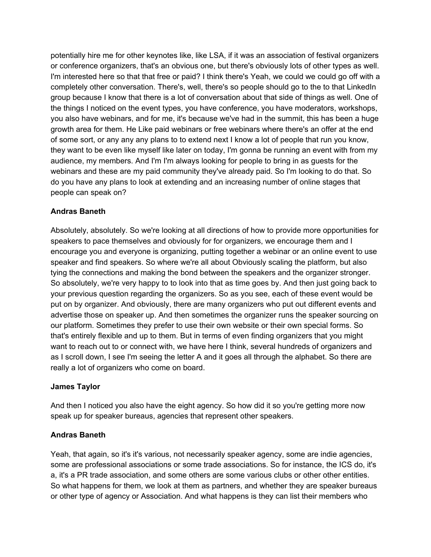potentially hire me for other keynotes like, like LSA, if it was an association of festival organizers or conference organizers, that's an obvious one, but there's obviously lots of other types as well. I'm interested here so that that free or paid? I think there's Yeah, we could we could go off with a completely other conversation. There's, well, there's so people should go to the to that LinkedIn group because I know that there is a lot of conversation about that side of things as well. One of the things I noticed on the event types, you have conference, you have moderators, workshops, you also have webinars, and for me, it's because we've had in the summit, this has been a huge growth area for them. He Like paid webinars or free webinars where there's an offer at the end of some sort, or any any any plans to to extend next I know a lot of people that run you know, they want to be even like myself like later on today, I'm gonna be running an event with from my audience, my members. And I'm I'm always looking for people to bring in as guests for the webinars and these are my paid community they've already paid. So I'm looking to do that. So do you have any plans to look at extending and an increasing number of online stages that people can speak on?

#### **Andras Baneth**

Absolutely, absolutely. So we're looking at all directions of how to provide more opportunities for speakers to pace themselves and obviously for for organizers, we encourage them and I encourage you and everyone is organizing, putting together a webinar or an online event to use speaker and find speakers. So where we're all about Obviously scaling the platform, but also tying the connections and making the bond between the speakers and the organizer stronger. So absolutely, we're very happy to to look into that as time goes by. And then just going back to your previous question regarding the organizers. So as you see, each of these event would be put on by organizer. And obviously, there are many organizers who put out different events and advertise those on speaker up. And then sometimes the organizer runs the speaker sourcing on our platform. Sometimes they prefer to use their own website or their own special forms. So that's entirely flexible and up to them. But in terms of even finding organizers that you might want to reach out to or connect with, we have here I think, several hundreds of organizers and as I scroll down, I see I'm seeing the letter A and it goes all through the alphabet. So there are really a lot of organizers who come on board.

#### **James Taylor**

And then I noticed you also have the eight agency. So how did it so you're getting more now speak up for speaker bureaus, agencies that represent other speakers.

#### **Andras Baneth**

Yeah, that again, so it's it's various, not necessarily speaker agency, some are indie agencies, some are professional associations or some trade associations. So for instance, the ICS do, it's a, it's a PR trade association, and some others are some various clubs or other other entities. So what happens for them, we look at them as partners, and whether they are speaker bureaus or other type of agency or Association. And what happens is they can list their members who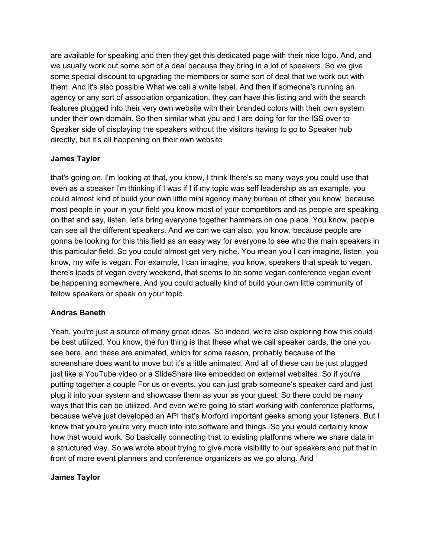are available for speaking and then they get this dedicated page with their nice logo. And, and we usually work out some sort of a deal because they bring in a lot of speakers. So we give some special discount to upgrading the members or some sort of deal that we work out with them. And it's also possible What we call a white label. And then if someone's running an agency or any sort of association organization, they can have this listing and with the search features plugged into their very own website with their branded colors with their own system under their own domain. So then similar what you and I are doing for for the ISS over to Speaker side of displaying the speakers without the visitors having to go to Speaker hub directly, but it's all happening on their own website

# **James Taylor**

that's going on. I'm looking at that, you know, I think there's so many ways you could use that even as a speaker I'm thinking if I was if I if my topic was self leadership as an example, you could almost kind of build your own little mini agency many bureau of other you know, because most people in your in your field you know most of your competitors and as people are speaking on that and say, listen, let's bring everyone together hammers on one place. You know, people can see all the different speakers. And we can we can also, you know, because people are gonna be looking for this this field as an easy way for everyone to see who the main speakers in this particular field. So you could almost get very niche. You mean you I can imagine, listen, you know, my wife is vegan. For example, I can imagine, you know, speakers that speak to vegan, there's loads of vegan every weekend, that seems to be some vegan conference vegan event be happening somewhere. And you could actually kind of build your own little community of fellow speakers or speak on your topic.

# **Andras Baneth**

Yeah, you're just a source of many great ideas. So indeed, we're also exploring how this could be best utilized. You know, the fun thing is that these what we call speaker cards, the one you see here, and these are animated, which for some reason, probably because of the screenshare does want to move but it's a little animated. And all of these can be just plugged just like a YouTube video or a SlideShare like embedded on external websites. So if you're putting together a couple For us or events, you can just grab someone's speaker card and just plug it into your system and showcase them as your as your guest. So there could be many ways that this can be utilized. And even we're going to start working with conference platforms, because we've just developed an API that's Morford important geeks among your listeners. But I know that you're you're very much into into software and things. So you would certainly know how that would work. So basically connecting that to existing platforms where we share data in a structured way. So we wrote about trying to give more visibility to our speakers and put that in front of more event planners and conference organizers as we go along. And

# **James Taylor**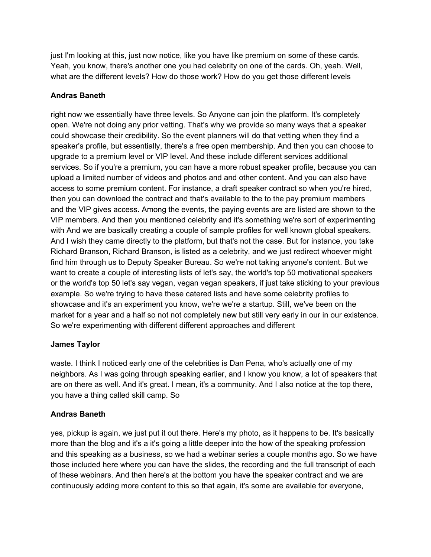just I'm looking at this, just now notice, like you have like premium on some of these cards. Yeah, you know, there's another one you had celebrity on one of the cards. Oh, yeah. Well, what are the different levels? How do those work? How do you get those different levels

# **Andras Baneth**

right now we essentially have three levels. So Anyone can join the platform. It's completely open. We're not doing any prior vetting. That's why we provide so many ways that a speaker could showcase their credibility. So the event planners will do that vetting when they find a speaker's profile, but essentially, there's a free open membership. And then you can choose to upgrade to a premium level or VIP level. And these include different services additional services. So if you're a premium, you can have a more robust speaker profile, because you can upload a limited number of videos and photos and and other content. And you can also have access to some premium content. For instance, a draft speaker contract so when you're hired, then you can download the contract and that's available to the to the pay premium members and the VIP gives access. Among the events, the paying events are are listed are shown to the VIP members. And then you mentioned celebrity and it's something we're sort of experimenting with And we are basically creating a couple of sample profiles for well known global speakers. And I wish they came directly to the platform, but that's not the case. But for instance, you take Richard Branson, Richard Branson, is listed as a celebrity, and we just redirect whoever might find him through us to Deputy Speaker Bureau. So we're not taking anyone's content. But we want to create a couple of interesting lists of let's say, the world's top 50 motivational speakers or the world's top 50 let's say vegan, vegan vegan speakers, if just take sticking to your previous example. So we're trying to have these catered lists and have some celebrity profiles to showcase and it's an experiment you know, we're we're a startup. Still, we've been on the market for a year and a half so not not completely new but still very early in our in our existence. So we're experimenting with different different approaches and different

# **James Taylor**

waste. I think I noticed early one of the celebrities is Dan Pena, who's actually one of my neighbors. As I was going through speaking earlier, and I know you know, a lot of speakers that are on there as well. And it's great. I mean, it's a community. And I also notice at the top there, you have a thing called skill camp. So

# **Andras Baneth**

yes, pickup is again, we just put it out there. Here's my photo, as it happens to be. It's basically more than the blog and it's a it's going a little deeper into the how of the speaking profession and this speaking as a business, so we had a webinar series a couple months ago. So we have those included here where you can have the slides, the recording and the full transcript of each of these webinars. And then here's at the bottom you have the speaker contract and we are continuously adding more content to this so that again, it's some are available for everyone,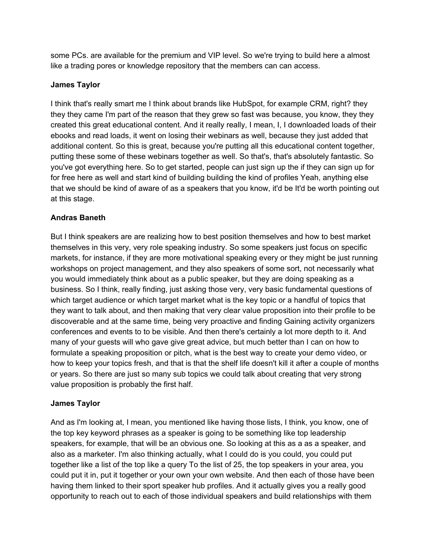some PCs. are available for the premium and VIP level. So we're trying to build here a almost like a trading pores or knowledge repository that the members can can access.

#### **James Taylor**

I think that's really smart me I think about brands like HubSpot, for example CRM, right? they they they came I'm part of the reason that they grew so fast was because, you know, they they created this great educational content. And it really really, I mean, I, I downloaded loads of their ebooks and read loads, it went on losing their webinars as well, because they just added that additional content. So this is great, because you're putting all this educational content together, putting these some of these webinars together as well. So that's, that's absolutely fantastic. So you've got everything here. So to get started, people can just sign up the if they can sign up for for free here as well and start kind of building building the kind of profiles Yeah, anything else that we should be kind of aware of as a speakers that you know, it'd be It'd be worth pointing out at this stage.

#### **Andras Baneth**

But I think speakers are are realizing how to best position themselves and how to best market themselves in this very, very role speaking industry. So some speakers just focus on specific markets, for instance, if they are more motivational speaking every or they might be just running workshops on project management, and they also speakers of some sort, not necessarily what you would immediately think about as a public speaker, but they are doing speaking as a business. So I think, really finding, just asking those very, very basic fundamental questions of which target audience or which target market what is the key topic or a handful of topics that they want to talk about, and then making that very clear value proposition into their profile to be discoverable and at the same time, being very proactive and finding Gaining activity organizers conferences and events to to be visible. And then there's certainly a lot more depth to it. And many of your guests will who gave give great advice, but much better than I can on how to formulate a speaking proposition or pitch, what is the best way to create your demo video, or how to keep your topics fresh, and that is that the shelf life doesn't kill it after a couple of months or years. So there are just so many sub topics we could talk about creating that very strong value proposition is probably the first half.

# **James Taylor**

And as I'm looking at, I mean, you mentioned like having those lists, I think, you know, one of the top key keyword phrases as a speaker is going to be something like top leadership speakers, for example, that will be an obvious one. So looking at this as a as a speaker, and also as a marketer. I'm also thinking actually, what I could do is you could, you could put together like a list of the top like a query To the list of 25, the top speakers in your area, you could put it in, put it together or your own your own website. And then each of those have been having them linked to their sport speaker hub profiles. And it actually gives you a really good opportunity to reach out to each of those individual speakers and build relationships with them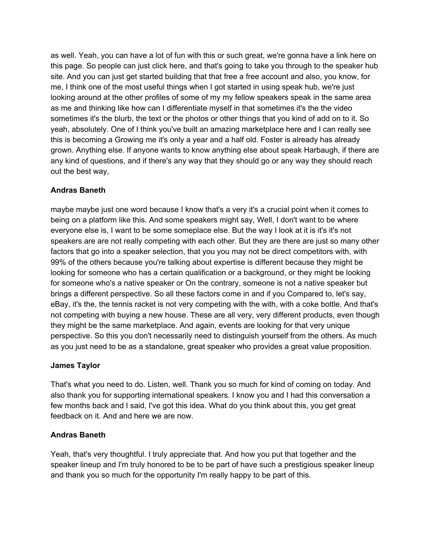as well. Yeah, you can have a lot of fun with this or such great, we're gonna have a link here on this page. So people can just click here, and that's going to take you through to the speaker hub site. And you can just get started building that that free a free account and also, you know, for me, I think one of the most useful things when I got started in using speak hub, we're just looking around at the other profiles of some of my my fellow speakers speak in the same area as me and thinking like how can I differentiate myself in that sometimes it's the the video sometimes it's the blurb, the text or the photos or other things that you kind of add on to it. So yeah, absolutely. One of I think you've built an amazing marketplace here and I can really see this is becoming a Growing me it's only a year and a half old. Foster is already has already grown. Anything else. If anyone wants to know anything else about speak Harbaugh, if there are any kind of questions, and if there's any way that they should go or any way they should reach out the best way,

# **Andras Baneth**

maybe maybe just one word because I know that's a very it's a crucial point when it comes to being on a platform like this. And some speakers might say, Well, I don't want to be where everyone else is, I want to be some someplace else. But the way I look at it is it's it's not speakers are are not really competing with each other. But they are there are just so many other factors that go into a speaker selection, that you you may not be direct competitors with, with 99% of the others because you're talking about expertise is different because they might be looking for someone who has a certain qualification or a background, or they might be looking for someone who's a native speaker or On the contrary, someone is not a native speaker but brings a different perspective. So all these factors come in and if you Compared to, let's say, eBay, it's the, the tennis racket is not very competing with the with, with a coke bottle. And that's not competing with buying a new house. These are all very, very different products, even though they might be the same marketplace. And again, events are looking for that very unique perspective. So this you don't necessarily need to distinguish yourself from the others. As much as you just need to be as a standalone, great speaker who provides a great value proposition.

# **James Taylor**

That's what you need to do. Listen, well. Thank you so much for kind of coming on today. And also thank you for supporting international speakers. I know you and I had this conversation a few months back and I said, I've got this idea. What do you think about this, you get great feedback on it. And and here we are now.

# **Andras Baneth**

Yeah, that's very thoughtful. I truly appreciate that. And how you put that together and the speaker lineup and I'm truly honored to be to be part of have such a prestigious speaker lineup and thank you so much for the opportunity I'm really happy to be part of this.